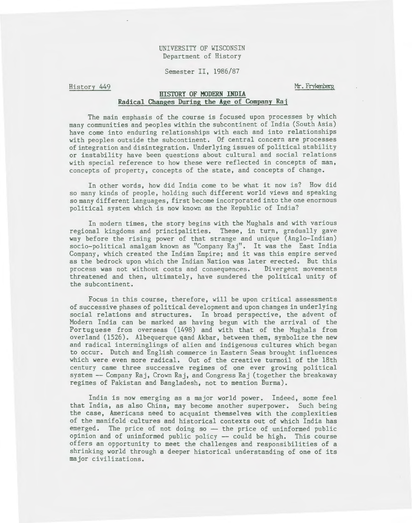# UNIVERSITY OF WISCONSIN Department of History

Semester II, 1986/87

History 449

Mr. Frykenberg

# **HISTORY OF MODERN INDIA Radical Changes During the Age of Company Raj**

The main emphasis of the course is focused upon processes by which many communities and peoples within the subcontinent of India (South Asia) have come into enduring relationships with each and into relationships with peoples outside the subcontinent. Of central concern are processes of integration and disintegration. Underlying issues of political stability or instability have been questions about cultural and social relations with special reference to how these were reflected in concepts of man, concepts of property, concepts of the state, and concepts of change.

In other words, how did India come to be what it now is? How did so many kinds of people, holding such different world views and speaking so many different languages, first become incorporated into the one enormous political system which is now known as the Republic of India?

In modern times, the story begins with the Mughals and with various regional kingdoms and principalities. These, in turn, gradually gave way before the rising power of that strange and unique (Anglo-Indian) socio-political amalgam known as "Company Raj". It was the East India Company, which created the Indian Empire; and it was this empire served as the bedrock upon which the Indian Nation was later erected. But this process was not without costs and consequences. Divergent movements threatened and then, ultimately, have sundered the political unity of the subcontinent.

Focus in this course, therefore, will be upon critical assessments of successive phases of political development and upon changes in underlying social relations and structures. In broad perspective, the advent of Modern India can be marked as having begun with the arrival of the Portuguese from overseas (1498) and with that of the Mughals from overland (1526). Albequerque qand Akbar, between them, symbolize the new and radical interminglings of alien and indigenous cultures which began to occur. Dutch and English commerce in Eastern Seas brought influences which were even more radical. Out of the creative turmoil of the 18th century came three successive regimes of one ever growing political system-- Company Raj, Crown Raj, and Congress Raj (together the breakaway regimes of Pakistan and Bangladesh, not to mention Burma).

India is now emerging as a major world power. Indeed, some feel that India, as also China, may become another superpower. Such being the case, Americans need to acquaint themselves with the complexities of the manifold cultures and historical contexts out of which India has  $emerged.$  The price of not doing so  $-$  the price of uninformed public opinion and of uninformed public policy -- could be high. This course offers an opportunity to meet the challenges and responsibilities of a shrinking world through a deeper historical understanding of one of its major civilizations.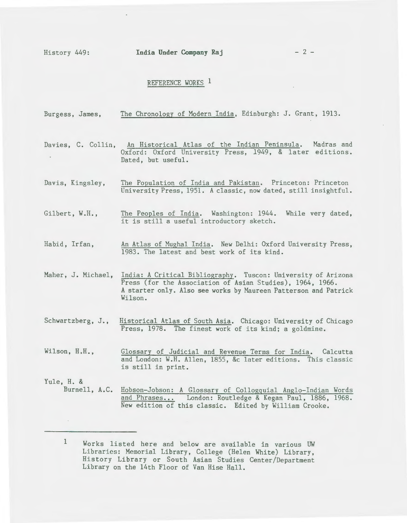History 449: **India Under Company Raj** - 2 -

# REFERENCE WORKS 1

| Burgess, James,             | The Chronology of Modern India, Edinburgh: J. Grant, 1913.                                                                                                                                                                  |
|-----------------------------|-----------------------------------------------------------------------------------------------------------------------------------------------------------------------------------------------------------------------------|
|                             | Davies, C. Collin, An Historical Atlas of the Indian Peninsula. Madras and<br>Oxford: Oxford University Press, 1949, & later editions.<br>Dated, but useful.                                                                |
| Davis, Kingsley,            | The Population of India and Pakistan. Princeton: Princeton<br>University Press, 1951. A classic, now dated, still insightful.                                                                                               |
| Gilbert, W.H.,              | The Peoples of India. Washington: 1944. While very dated,<br>it is still a useful introductory sketch.                                                                                                                      |
| Habid, Irfan,               | An Atlas of Mughal India. New Delhi: Oxford University Press,<br>1983. The latest and best work of its kind.                                                                                                                |
|                             | Maher, J. Michael, India: A Critical Bibliography. Tuscon: University of Arizona<br>Press (for the Association of Asian Studies), 1964, 1966.<br>A starter only. Also see works by Maureen Patterson and Patrick<br>Wilson. |
| Schwartzberg, J.,           | Historical Atlas of South Asia. Chicago: University of Chicago<br>Press, 1978. The finest work of its kind; a goldmine.                                                                                                     |
| Wilson, H.H.,               | Glossary of Judicial and Revenue Terms for India. Calcutta<br>and London: W.H. Allen, 1855, &c later editions. This classic<br>is still in print.                                                                           |
| Yule, H. &<br>Burnell, A.C. | Hobson-Jobson: A Glossary of Collogquial Anglo-Indian Words<br>and Phrases London: Routledge & Kegan Paul, 1886, 1968.<br>New edition of this classic. Edited by William Crooke.                                            |

<sup>1</sup> Works listed here and below are available in various UW Libraries: Memorial Library, College (Helen White) Library, History Library or South Asian Studies Center/Department Library on the 14th Floor of Van Hise Hall.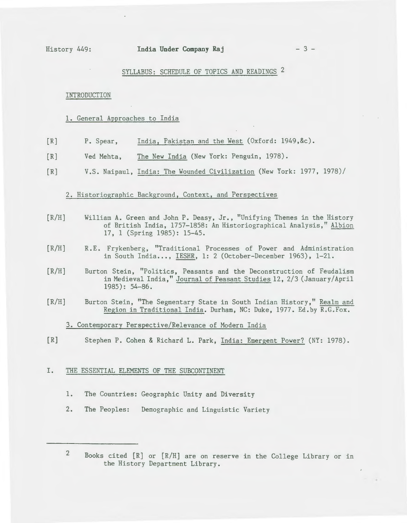# SYLLABUS: SCHEDULE OF TOPICS AND READINGS 2

#### INTRODUCTION

# 1. General Approaches to India

- $[R]$ P. Spear, India, Pakistan and the West (Oxford: 1949,&c).
- $[R]$ Ved Mehta, The New India (New York: Penguin, 1978).
- [R] V.S. Naipaul, India: The Wounded Civilization (New York: 1977, 1978)/

# 2. Historiographic Background, Context, and Perspectives

- $[R/H]$ William A. Green and John P. Deasy, Jr., "Unifying Themes in the History of British India, 1757-1858: An Historiographical Analysis," Albion 17, 1 (Spring 1985): 15-45.
- $[R/H]$ R. E. Frykenberg, "Traditional Processes of Power and Administration in South India..., IESHR, 1: 2 (October-December 1963), 1-21.
- $[R/H]$ Burton Stein, "Politics, Peasants and the Deconstruction of Feudalism in Medieval India," Journal of Peasant Studies 12, 2/3 (January/ April 1985): 54-86.
- [R/H] Burton Stein, ''The Segmentary State in South Indian History," Realm and Region in Traditional India. Durham, NC: Duke, 1977. Ed.by R.G.Fox.

# 3. Contemporary Perspective/Relevance of Modern India

[R] Stephen P. Cohen & Richard L. Park, India: Emergent Power? (NY: 1978).

#### I. THE ESSENTIAL ELEMENTS OF THE SUBCONTINENT

- **1.** The Countries: Geographic Unity and Diversity
- 2. The Peoples: Demographic and Linguistic Variety

2

Books cited [R] or [R/H] are on reserve in the College Library or in the History Department Library.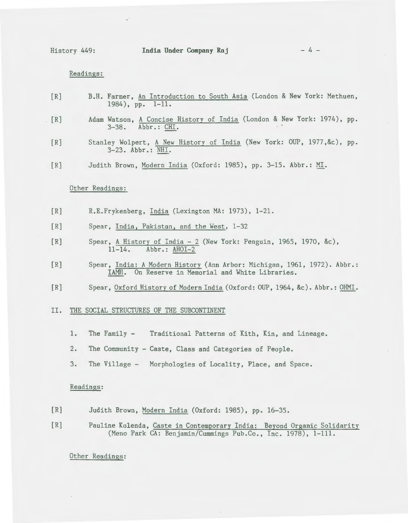History 449: **India Under Company Raj** - 4 -

Readings:

- [R] B.H. Farmer, An Introduction to South Asia (London & New York: Methuen, 1984), pp. 1-11.
- [R] Adam Watson, A Concise History of India (London & New York: 1974), pp. 3-38. Abbr.: CHI.
	- [R] Stanley Wolpert, A New History of India (New York: OUP, 1977, &c), pp. 3-23. Abbr.: NHI.
	- [R] Judith Brown, Modern India (Oxford: 1985), pp. 3-15. Abbr.: MI.

## Other Readings:

- [R] R.E.Frykenberg, India (Lexington MA: 1973), 1-21.
- [R] Spear, India, Pakistan, and the West, 1-32
- [R] Spear, A History of India- 2 (New York: Penguin, 1965, 1970, &c), 11-14. Abbr.: AHOI-2
- [R] Spear, India: A Modern Historv (Ann Arbor: Michigan, 1961, 1972). Abbr.: IAMH. On Reserve in Memorial and White Libraries.
- [R] Spear, Oxford History of Modern India (Oxford: OUP, 1964, &c). Abbr.: OHMI.

## II. THE SOCIAL STRUCTURES OF THE SUBCONTINENT

- 1. The Family Traditional Patterns of Kith, Kin, and Lineage.
- 2. The Community Caste, Class and Categories of People.
- 3. The Village Morphologies of Locality, Place, and Space.

#### Readings:

- [R] Judith Brown, Modern India (Oxford: 1985), pp. 16-35.
- [R] Pauline Kolenda, Caste in Contemporary India: Beyond Organic Solidarity (Meno Park CA: Benjamin/Cummings Pub.Co., Inc. 1978), 1-111.

Other Readings: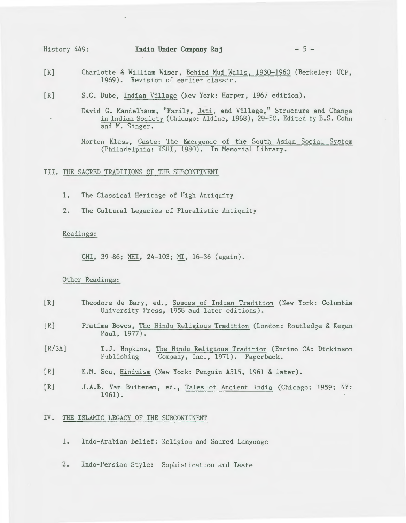- [R] Charlotte & William Wiser, Behind Mud Walls, 1930-1960 (Berkeley: UCP, 1969). Revision of earlier classic.
- [R] S.C. Dube, Indian Village (New York: Harper, 1967 edition).

David G. Mandelbaum, "Family, Jati, and Village," Structure and Change in Indian Society (Chicago: Aldine, 1968), 29-50. Edited by B.S. Cohn and M. Singer.

Morton Klass, Caste: The Emergence of the South Asian Social System (Philadelphia: ISHI, 1980). In Memorial Library.

III. THE SACRED TRADITIONS OF THE SUBCONTINENT

- 1. The Classical Heritage of High Antiquity
- 2. The Cultural Legacies of Pluralistic Antiquity

#### Readings:

CHI, 39-86; NHI, 24-103; MI, 16-36 (again).

## Other Readings:

- $[R]$ Theodore de Bary, ed., Souces of Indian Tradition (New York: Columbia University Press, 1958 and later editions).
- [R] Pratima Bowes, The Hindu Religious Tradition (London: Routledge & Kegan Paul, 1977).
- [R/SA] T.J. Hopkins, The Hindu Religious Tradition (Encino CA: Dickinson Publishing Company, Inc., 1971). Paperback.
- $[R]$ K.M. Sen, Hinduism (New York: Penguin A515, 1961 & later).
- $[R]$ J.A.B. Van Buitenen, ed., Tales of Ancient India (Chicago: 1959; NY: 1961).

## IV. THE ISLAMIC LEGACY OF THE SUBCONTINENT

- 1. Indo-Arabian Belief: Religion and Sacred Language
- 2. Indo-Persian Style: Sophistication and Taste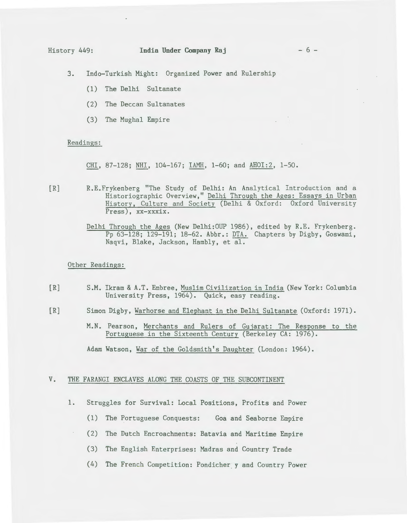### History 449: **India Under Company Raj** - 6 -

3. Indo-Turkish Might: Organized Power and Rulership

- (1) The Delhi Sultanate
- (2) The Deccan Sultanates
- (3) The Mughal Empire

#### Readings:

CHI, 87-128; NHI, 104-167; IAMH, 1-60; and AHOI:2, 1-50.

- [R] R.E.Frykenberg "The Study of Delhi: An Analytical Introduction and a Historiographic Overview," Delhi Through the Ages: Essays in Urban History, Culture and Society (Delhi & Oxford: Oxford University Press), xx-xxxix.
	- Delhi Through the Ages (New Delhi:OUP 1986), edited by R.E. Frykenberg. Pp 63-128; 129-191; 18-62. Abbr.: DTA. Chapters by Digby, Goswami, Naqvi, Blake, Jackson, Hambly, et al.

# Other Readings:

- [R] S.M. Ikram & A.T. Embree, Muslim Civilization in India (New York: Columbia University Press, 1964). Quick, easy reading.
- [R] Simon Digby, Warhorse and Elephant in the Delhi Sultanate (Oxford: 1971).
	- M.N. Pearson, Merchants and Rulers of Gujarat: The Response to the Portuguese in the Sixteenth Century (Berkeley CA: 1976).

Adam Watson, War of the Goldsmith's Daughter (London: 1964).

# V. THE FARANGI ENCLAVES ALONG THE COASTS OF THE SUBCONTINENT

- 1. Struggles for Survival: Local Positions, Profits and Power
	- (1) The Portuguese Conquests: Goa and Seaborne Empire
	- (2) The Dutch Encroachments: Batavia and Maritime Empire
	- (3) The English Enterprises: Madras and Country Trade
	- (4) The French Competition: Pondicher y and Country Power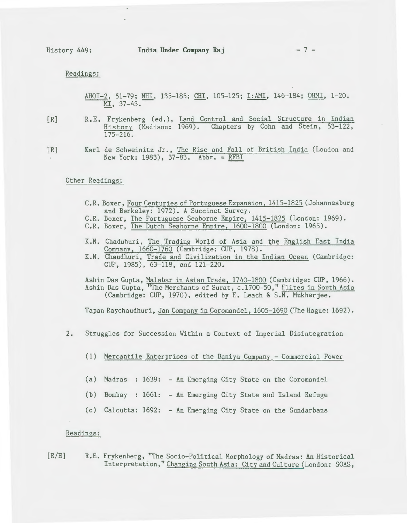Readings:

AHOI-2, 51-79; NHI, 135-185; CHI, 105-125; I:AMI, 146-184; OHMI, 1-20. MI, 37-43.

- 
- [R] R.E. Frykenberg (ed.), Land Control and Social Structure in Indian History (Madison: 1969). Chapters by Cohn and Stein, 53-122, 175-216.

[R] Karl de Schweinitz Jr., The Rise and Fall of British India (London and New York: 1983),  $37-83$ . Abbr. = RFBI

# Other Readings:

- C.R. Boxer, Four Centuries of Portuguese Expansion, 1415-1825 (Johannesburg and Berkeley: 1972). A Succinct Survey.
- C.R. Boxer, The Portuguese Seaborne Empire, 1415-1825 (London: 1969).
- C.R. Boxer, The Dutch Seaborne Empire, 1600-1800 (London: 1965).
- K.N. Chaduhuri, The Trading World of Asia and the English East India Company, 1660-1760 (Cambridge: CUP, 1978).
- K.N. Chaudhuri, Trade and Civilization in the Indian Ocean (Cambridge: CUP, 1985), 63-118, and 121-220.

Ashin Das Gupta, Malabar in Asian Trade, 1740-1800 (Cambridge: CUP, 1966). Ashin Das Gupta, "The Merchants of Surat, c.1700-50," Elites in South Asia (Cambridge: CUP, 1970), edited by E. Leach & S.N. Mukherjee.

Tapan Raychaudhuri, Jan Company in Coromandel, 1605-1690 (The Hague: 1692).

- 2. Struggles for Succession Within a Context of Imperial Disintegration
	- (1) Mercantile Enterprises of the Baniya Company Commercial Power
	- (a) Madras : 1639: An Emerging City State on the Coromandel
	- (b) Bombay 1661: An Emerging City State and Island Refuge
	- (c) Calcutta: 1692: An Emerging City State on the Sundarbans

#### Readings:

 $[R/H]$ R.E. Frykenberg, "The Socio-Political Morphology of Madras: An Historical Interpretation," Changing South Asia: City and Culture (London: SOAS,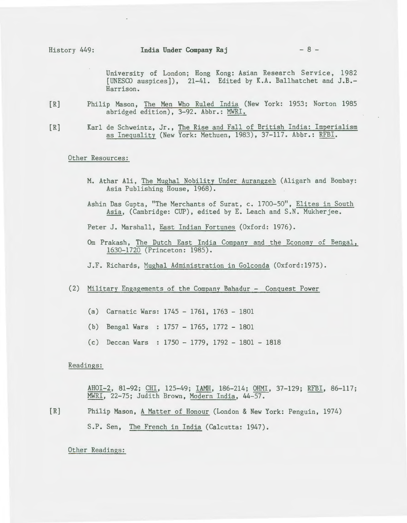University of London; Hong Kong: Asian Research Service, 1982 [UNESCO auspices]), 21-41. Edited by K.A. Ballhatchet and *].B.-* Harrison.

- [R] Philip Mason, The Men Who Ruled India (New York: 1953; Norton 1985 abridged edition), 3-92. Abbr.: MWRI.
- [R] Karl de Schweintz, Jr., The Rise and Fall of British India: Imperialism as Inequality (New York: Methuen, 1983), 37-117. Abbr.: RFBI.

Other Resources:

- M. Athar Ali, The Mughal Nobility Under Aurangzeb (Aligarh and Bombay: Asia Publishing House, 1968).
- Ashin Das Gupta, "The Merchants of Surat, c. 1700-50", Elites in South Asia, (Cambridge: CUP), edited by E. Leach and S.N. Mukherjee.

Peter J. Marshall, East Indian Fortunes (Oxford: 1976).

- Om Prakash, The Dutch East India Company and the Economy of Bengal, 1630-1720 (Princeton: 1985).
- J.F. Richards, Mughal Administration in Golconda (Oxford:1975).
- (2) Military Engagements of the Company Bahadur Conquest Power
	- (a) Carnatic Wars: 1745 1761, 1763 1801
	- (b) Bengal Wars : 1757 1765, 1772 1801
	- (c) Deccan Wars 1750 1779, 1792 1801 1818

Readings:

AHOI-2, 81-92; CHI, 125-49; IAMH, 186-214; OHM!, 37-129; RFBI, 86-117; MWRI, 22-75; Judith Brown, Modern India, 44-57.

[R] Philip Mason, A Matter of Honour (London & New York: Penguin, 1974) S.P. Sen, The French in India (Calcutta: 1947).

Other Readings: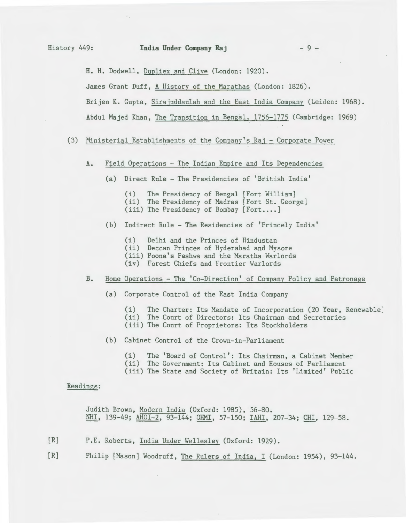H. H. Dodwell, Dupliex and Clive (London: 1920).

James Grant Duff, A History of the Marathas (London: 1826).

Brijen K. Gupta, Sirajuddaulah and the East India Company (Leiden: 1968).

Abdul Majed Khan, The Transition in Bengal, 1756-1775 (Cambridge: 1969)

# (3) Ministerial Establishments of the Companv's Raj - Corporate Power

- A. Field Operations The Indian Empire and Its Dependencies
	- (a) Direct Rule- The Presidencies of 'British India'
		- (i) The Presidency of Bengal [Fort William] (ii) The Presidency of Madras [Fort St. George] (iii) The Presidency of Bombay [Fort....]
	- (b) Indirect Rule- The Residencies of 'Princely India'
		- (i) Delhi and the Princes of Hindustan
		- (ii) Deccan Princes of Hyderabad and Mysore
		- (iii) Poona's Peshwa and the Maratha Warlords
		- (iv) Forest Chiefs and Frontier Warlords
- B. Home Operations- The 'Co-Direction' of Company Policy and Patronage
	- (a) Corporate Control of the East India Company

(i) The Charter: Its Mandate of Incorporation (20 Year, Renewable) (ii) The Court of Directors: Its Chairman and Secretaries (iii) The Court of Proprietors: Its Stockholders

- (b) Cabinet Control of the Crown-in-Parliament
	- (i) The 'Board of Control': Its Chairman, a Cabinet Member
	- (ii) The Government: Its Cabinet and Houses of Parliament
	- (iii) The State and Society of Britain: Its 'Limited' Public

# Readings:

Judith Brown, Modern India (Oxford: 1985), 56-80. NHI, 139-49; AHOI-2, 93-144; OHMI, 57-150; IAHI, 207-34; CHI, 129-58.

- [R] P.E. Roberts, India Under Wellesley (Oxford: 1929).
- [R] Philip [Mason] Woodruff, The Rulers of India, I (London: 1954), 93-144.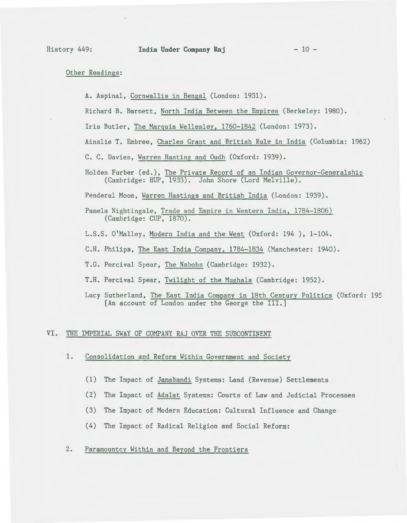# Other Readings:

A. Aspinal, Cornwallis in Bengal (London: 1931).

Richard B. Barnett, North India Between the Empires (Berkeley: 1980).

Iris Butler, The Marquis Wellesley, 1760-1842 (London: 1973).

Ainslie T. Embree, Charles Grant and British Rule in India (Columbia: 1962)

C. C. Davies, Warren Hasting and Oudh (Oxford: 1939).

Holden Furber (ed.), The Private Record of an Indian Governor-Generalship (Cambridge: HUP, 1933). John Shore (Lord Melville).

Penderal Moon, Warren Hastings and British India (London: 1939).

- Pamela Nightingale, Trade and Empire in Western India, 1784-1806) (Cambridge: CUP, 1870).
- L.S.S. O'Malley, Modern India and the West (Oxford: 194 ), 1-104.

C.H. Philips, The East India Company, 1784-1834 (Manchester: 1940).

- T.G. Percival Spear, The Nabobs (Cambridge: 1932).
- T.H. Percival Spear, Twilight of the Mughals (Cambridge: 1952).
- Lucy Sutherland, The East India Company in 18th Century Politics (Oxford: 195 [An account of London under the George the III.]

#### VI. THE IMPERIAL SWAY OF COMPANY RAJ OVER THE SUBCONTINENT

- **1.** Consolidation and Reform Within Government and Society
	- (1) The Impact of Jamabandi Systems: Land (Revenue) Settlements
	- (2) The Impact of Adalat Systems: Courts of Law and Judicial Processes
	- (3) The Impact of Modern Education: Cultural Influence and Change
	- (4) The Impact of Radical Religion and Social Reform:

# 2. Paramountcy Within and Beyond the Frontiers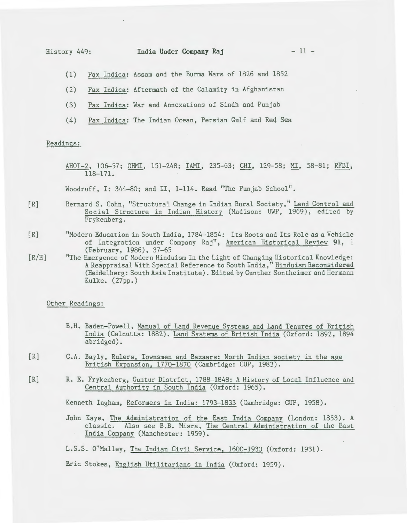- (1) Pax Indica: Assam and the Burma Wars of 1826 and 1852
- (2) Pax Indica: Aftermath of the Calamity in Afghanistan
- (3) Pax Indica: War and Annexations of Sindh and Punjab
- (4) Pax Indica: The Indian Ocean, Persian Gulf and Red Sea

#### Readings:

AHOI-2, 106-57; OHMI, 151-248; IAMI, 235-63; CHI, 129-58; MI, 58-81; RFBI, 118-171.

Woodruff, I: 344-80; and II, 1-114. Read "The Punjab School".

- $[R]$ Bernard S. Cohn, "Structural Change in Indian Rural Society," Land Control and Social Structure in Indian History (Madison: UWP, 1969), edited by Frykenberg.
- $[R]$ "Modern Education in South India, 1784-1854: Its Roots and Its Role as a Vehicle of Integration under Company Raj", American Historical Review **91,** 1 (February, 1986), 37-65
- $[R/H]$ "The Emergence of Modern Hinduism In the Light of Changing Historical Knowledge: A Reappraisal With Special Reference to South India," Hinduism Reconsidered (Heidelberg: South Asia Institute). Edited by Gunther Sontheimer and Hermann Kulke. (27pp.)

#### Other Readings:

- B.H. Baden-Powell, Manual of Land Revenue Systems and Land Tenures of British India (Calcutta: 1882). Land Systems of British India (Oxford: 1892, 1894 abridged).
- [R] C.A. Bayly, Rulers, Townsmen and Bazaars: North Indian society in the age British Expansion, 1770-1870 (Cambridge: CUP, 1983).
- [R] R. E. Frykenberg, Guntur District, 1788-1848: A History of Local Influence and Central Authority in South India (Oxford: 1965).

Kenneth Ingham, Reformers in India: 1793-1833 (Cambridge: CUP, 1958).

John Kaye, The Administration of the East India Company (London: 1853). A classic. Also see B.B. Misra, The Central Administration of the East India Company (Manchester: 1959).

L.S.S. O'Malley, The Indian Civil Service, 1600-1930 (Oxford: 1931).

Eric Stokes, English Utilitarians in India (Oxford: 1959).